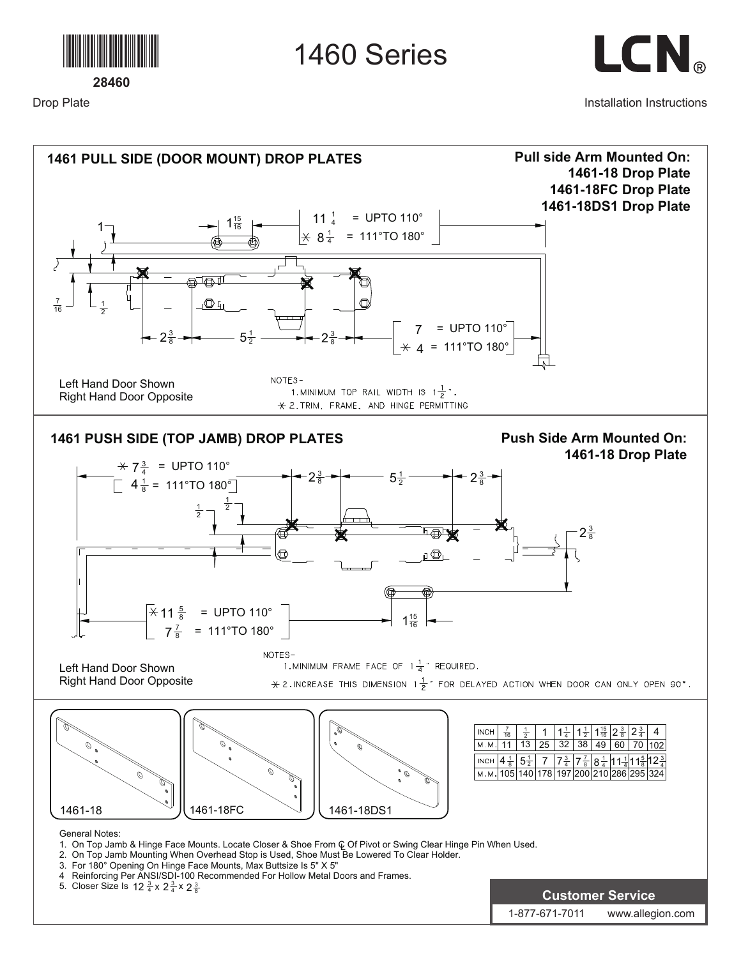

1460 Series



Installation Instructions



Drop Plate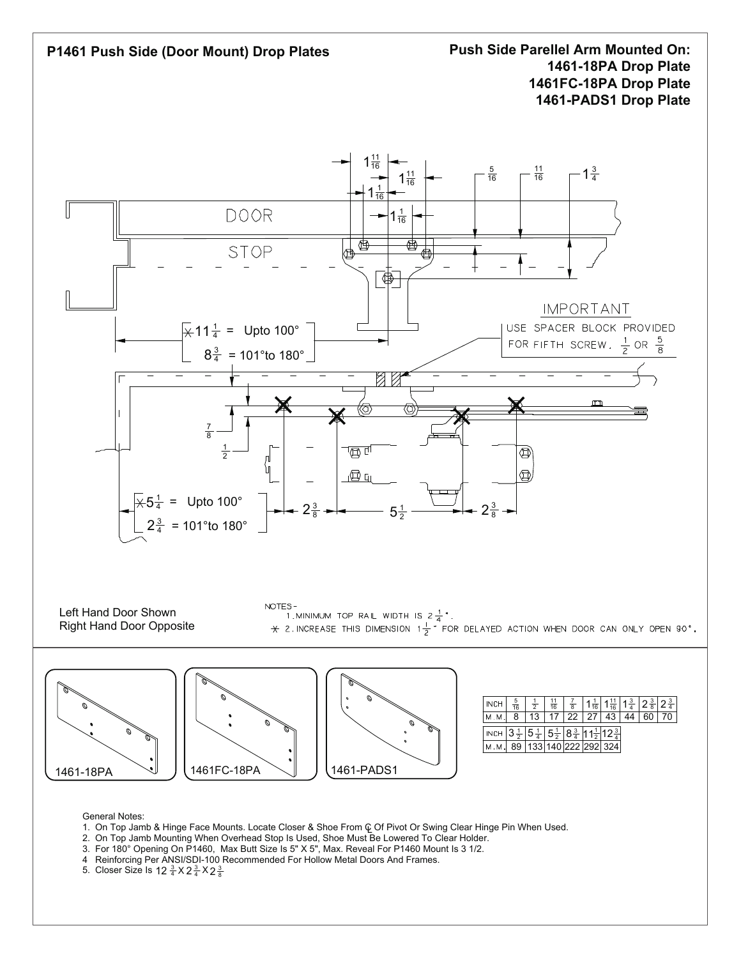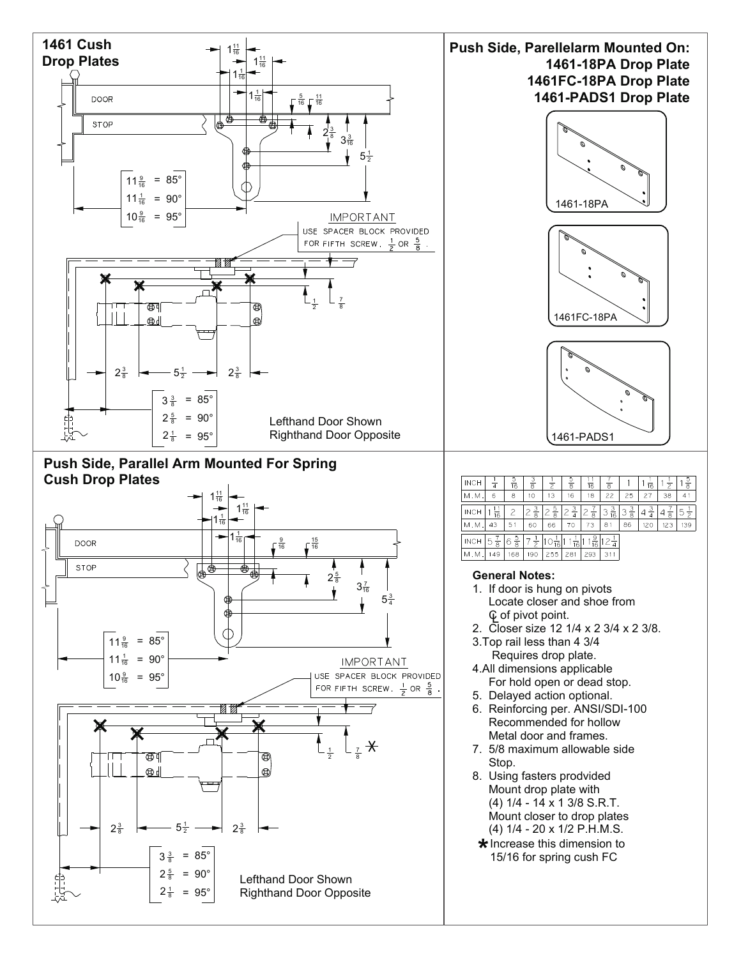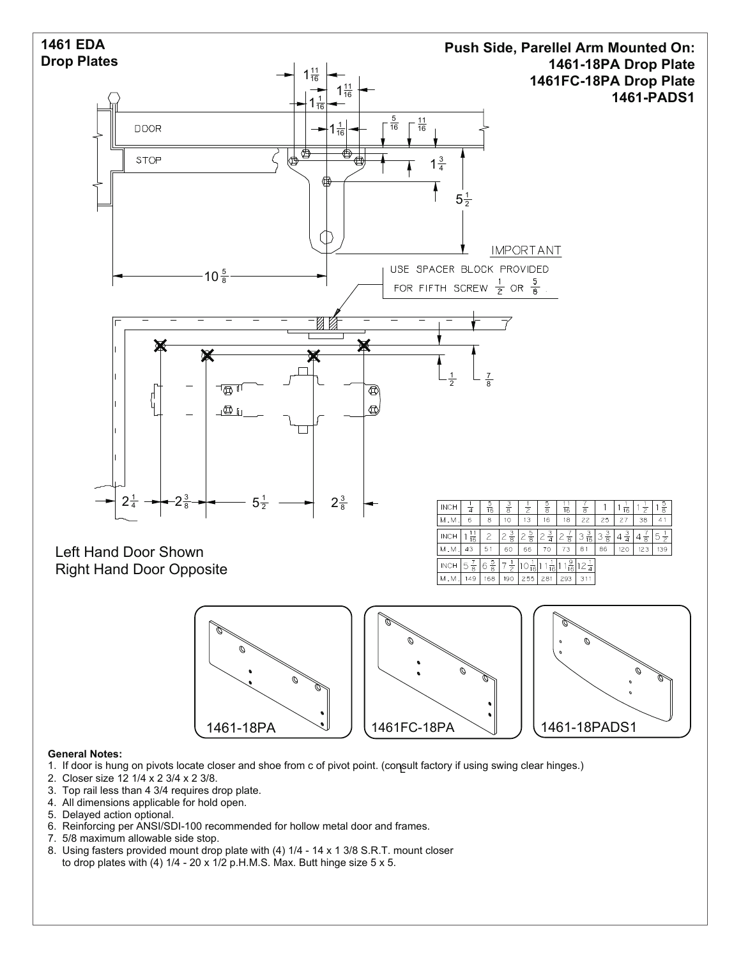

- 1. If door is hung on pivots locate closer and shoe from c of pivot point. (consult factory if using swing clear hinges.) L
- 2. Closer size 12 1/4 x 2 3/4 x 2 3/8.
- 3. Top rail less than 4 3/4 requires drop plate.
- 4. All dimensions applicable for hold open.
- 5. Delayed action optional.
- 6. Reinforcing per ANSI/SDI-100 recommended for hollow metal door and frames.
- 7. 5/8 maximum allowable side stop.
- 8. Using fasters provided mount drop plate with (4) 1/4 14 x 1 3/8 S.R.T. mount closer to drop plates with (4)  $1/4$  - 20 x  $1/2$  p.H.M.S. Max. Butt hinge size 5 x 5.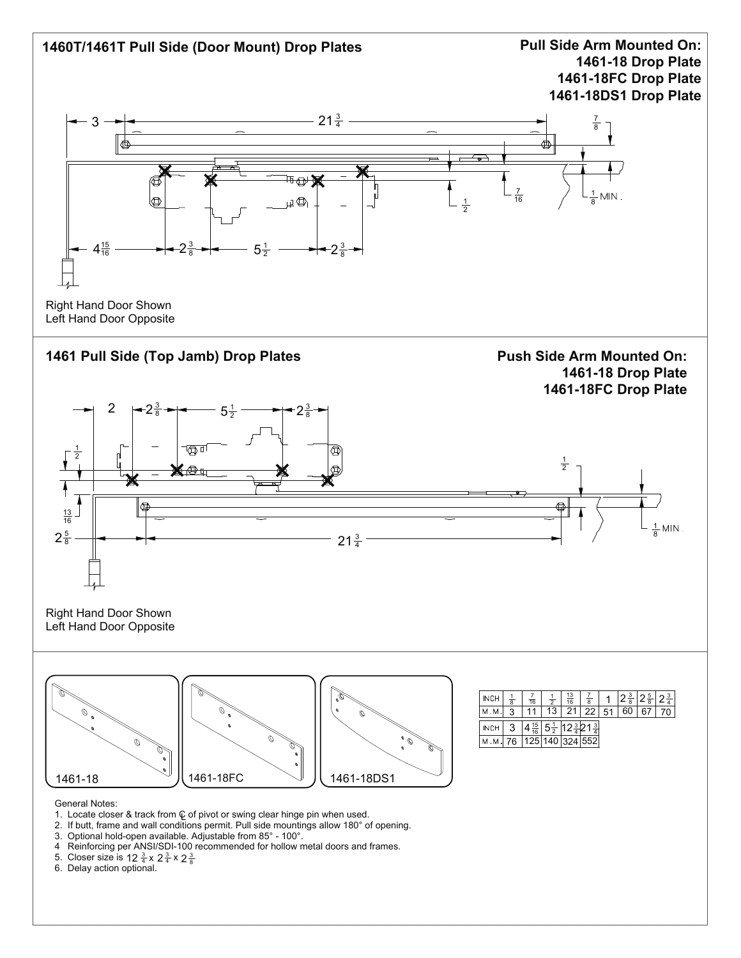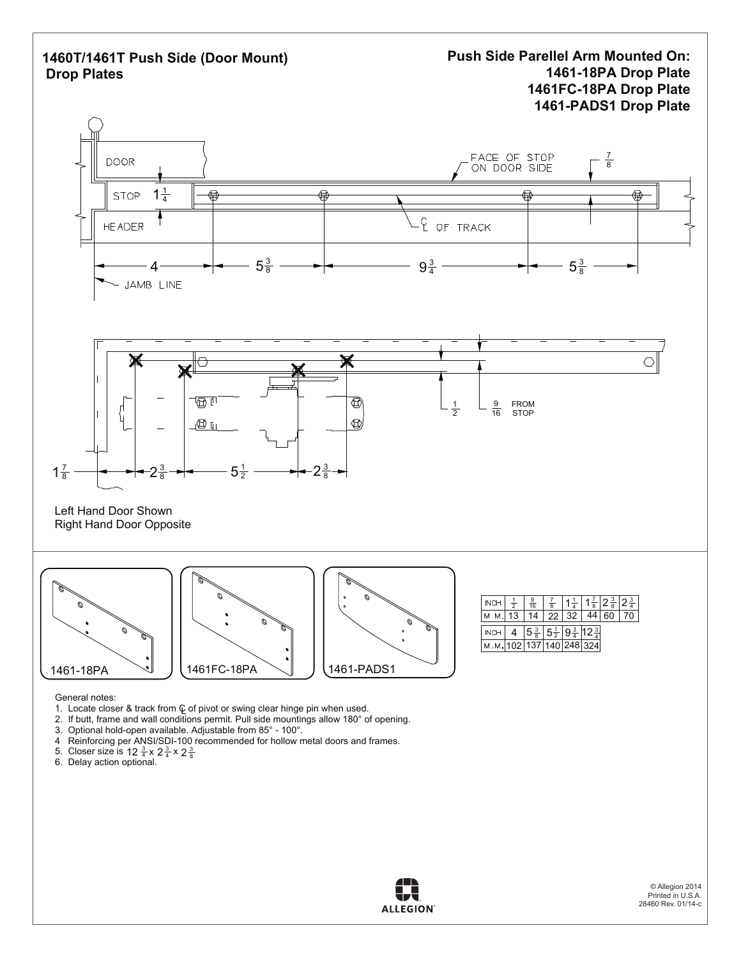